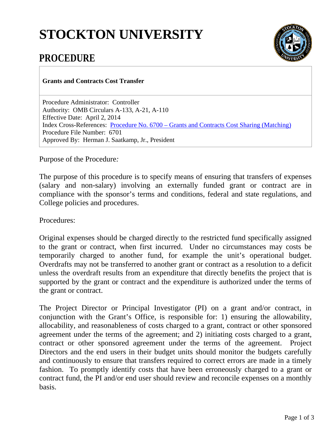## **STOCKTON UNIVERSITY**



## **PROCEDURE**

**Grants and Contracts Cost Transfer**

Procedure Administrator: Controller Authority: OMB Circulars A-133, A-21, A-110 Effective Date: April 2, 2014 Index Cross-References: Procedure No. 6700 – [Grants and Contracts Cost Sharing \(Matching\)](http://intraweb.stockton.edu/eyos/policypro/content/docs/6700_040714.pdf) Procedure File Number: 6701 Approved By: Herman J. Saatkamp, Jr., President

Purpose of the Procedure*:*

The purpose of this procedure is to specify means of ensuring that transfers of expenses (salary and non-salary) involving an externally funded grant or contract are in compliance with the sponsor's terms and conditions, federal and state regulations, and College policies and procedures.

Procedures:

Original expenses should be charged directly to the restricted fund specifically assigned to the grant or contract, when first incurred. Under no circumstances may costs be temporarily charged to another fund, for example the unit's operational budget. Overdrafts may not be transferred to another grant or contract as a resolution to a deficit unless the overdraft results from an expenditure that directly benefits the project that is supported by the grant or contract and the expenditure is authorized under the terms of the grant or contract.

The Project Director or Principal Investigator (PI) on a grant and/or contract, in conjunction with the Grant's Office, is responsible for: 1) ensuring the allowability, allocability, and reasonableness of costs charged to a grant, contract or other sponsored agreement under the terms of the agreement; and 2) initiating costs charged to a grant, contract or other sponsored agreement under the terms of the agreement. Project Directors and the end users in their budget units should monitor the budgets carefully and continuously to ensure that transfers required to correct errors are made in a timely fashion. To promptly identify costs that have been erroneously charged to a grant or contract fund, the PI and/or end user should review and reconcile expenses on a monthly basis.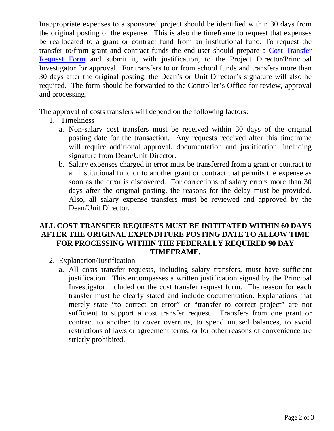Inappropriate expenses to a sponsored project should be identified within 30 days from the original posting of the expense. This is also the timeframe to request that expenses be reallocated to a grant or contract fund from an institutional fund. To request the transfer to/from grant and contract funds the end-user should prepare a [Cost Transfer](http://intraweb.stockton.edu/eyos/policypro/content/docs/Cost_Transfer_Form_040214.pdf)  [Request Form](http://intraweb.stockton.edu/eyos/policypro/content/docs/Cost_Transfer_Form_040214.pdf) and submit it, with justification, to the Project Director/Principal Investigator for approval. For transfers to or from school funds and transfers more than 30 days after the original posting, the Dean's or Unit Director's signature will also be required. The form should be forwarded to the Controller's Office for review, approval and processing.

The approval of costs transfers will depend on the following factors:

- 1. Timeliness
	- a. Non-salary cost transfers must be received within 30 days of the original posting date for the transaction. Any requests received after this timeframe will require additional approval, documentation and justification; including signature from Dean/Unit Director.
	- b. Salary expenses charged in error must be transferred from a grant or contract to an institutional fund or to another grant or contract that permits the expense as soon as the error is discovered. For corrections of salary errors more than 30 days after the original posting, the reasons for the delay must be provided. Also, all salary expense transfers must be reviewed and approved by the Dean/Unit Director.

## **ALL COST TRANSFER REQUESTS MUST BE INITITATED WITHIN 60 DAYS AFTER THE ORIGINAL EXPENDITURE POSTING DATE TO ALLOW TIME FOR PROCESSING WITHIN THE FEDERALLY REQUIRED 90 DAY TIMEFRAME.**

- 2. Explanation/Justification
	- a. All costs transfer requests, including salary transfers, must have sufficient justification. This encompasses a written justification signed by the Principal Investigator included on the cost transfer request form. The reason for **each** transfer must be clearly stated and include documentation. Explanations that merely state "to correct an error" or "transfer to correct project" are not sufficient to support a cost transfer request. Transfers from one grant or contract to another to cover overruns, to spend unused balances, to avoid restrictions of laws or agreement terms, or for other reasons of convenience are strictly prohibited.